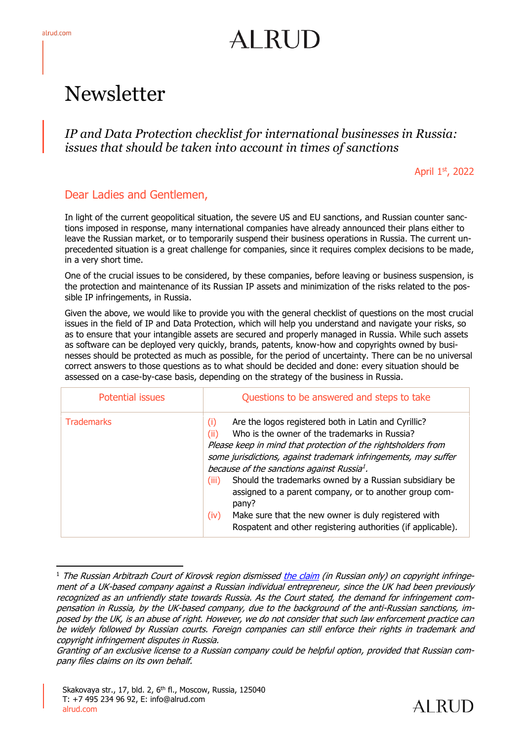# AI RUD

# Newsletter

*IP and Data Protection checklist for international businesses in Russia: issues that should be taken into account in times of sanctions*

April 1st, 2022

#### Dear Ladies and Gentlemen,

In light of the current geopolitical situation, the severe US and EU sanctions, and Russian counter sanctions imposed in response, many international companies have already announced their plans either to leave the Russian market, or to temporarily suspend their business operations in Russia. The current unprecedented situation is a great challenge for companies, since it requires complex decisions to be made, in a very short time.

One of the crucial issues to be considered, by these companies, before leaving or business suspension, is the protection and maintenance of its Russian IP assets and minimization of the risks related to the possible IP infringements, in Russia.

Given the above, we would like to provide you with the general checklist of questions on the most crucial issues in the field of IP and Data Protection, which will help you understand and navigate your risks, so as to ensure that your intangible assets are secured and properly managed in Russia. While such assets as software can be deployed very quickly, brands, patents, know-how and copyrights owned by businesses should be protected as much as possible, for the period of uncertainty. There can be no universal correct answers to those questions as to what should be decided and done: every situation should be assessed on a case-by-case basis, depending on the strategy of the business in Russia.

| <b>Potential issues</b> | Questions to be answered and steps to take                                                                                                                                                                                                                                                                                                                                                                                                                                                                                                                                               |
|-------------------------|------------------------------------------------------------------------------------------------------------------------------------------------------------------------------------------------------------------------------------------------------------------------------------------------------------------------------------------------------------------------------------------------------------------------------------------------------------------------------------------------------------------------------------------------------------------------------------------|
| <b>Trademarks</b>       | Are the logos registered both in Latin and Cyrillic?<br>(i)<br>Who is the owner of the trademarks in Russia?<br>(ii)<br>Please keep in mind that protection of the rightsholders from<br>some jurisdictions, against trademark infringements, may suffer<br>because of the sanctions against Russia <sup>1</sup> .<br>Should the trademarks owned by a Russian subsidiary be<br>(iii)<br>assigned to a parent company, or to another group com-<br>pany?<br>Make sure that the new owner is duly registered with<br>(iv)<br>Rospatent and other registering authorities (if applicable). |

<sup>&</sup>lt;sup>1</sup> The Russian Arbitrazh Court of Kirovsk region dismisse[d the claim](https://kad.arbitr.ru/Document/Pdf/a45fa186-05bb-43b5-87d9-1f0d3b640142/bb9af9d9-9daf-4994-9b37-02510206c18e/A28-11930-2021_20220303_Reshenie.pdf?isAddStamp=True) (in Russian only) on copyright infringement of a UK-based company against a Russian individual entrepreneur, since the UK had been previously recognized as an unfriendly state towards Russia. As the Court stated, the demand for infringement compensation in Russia, by the UK-based company, due to the background of the anti-Russian sanctions, imposed by the UK, is an abuse of right. However, we do not consider that such law enforcement practice can be widely followed by Russian courts. Foreign companies can still enforce their rights in trademark and copyright infringement disputes in Russia.



Granting of an exclusive license to a Russian company could be helpful option, provided that Russian company files claims on its own behalf.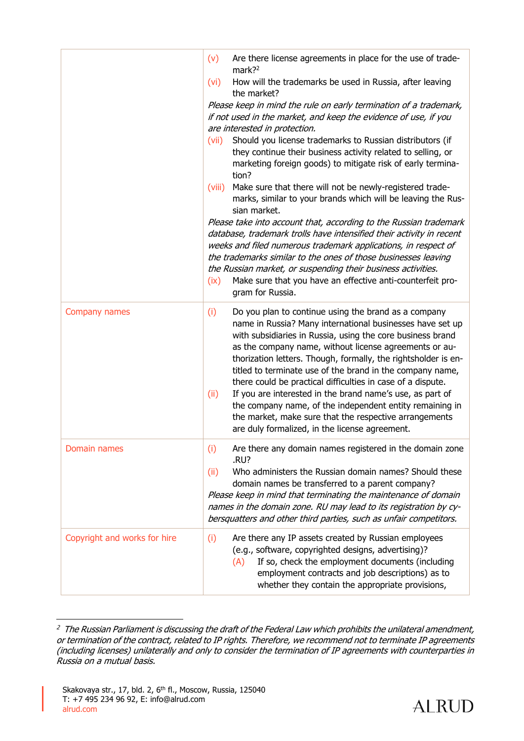|                              | Are there license agreements in place for the use of trade-<br>(v)<br>mark? $2^2$<br>How will the trademarks be used in Russia, after leaving<br>(vi)<br>the market?<br>Please keep in mind the rule on early termination of a trademark,<br>if not used in the market, and keep the evidence of use, if you<br>are interested in protection.<br>Should you license trademarks to Russian distributors (if<br>(vii)<br>they continue their business activity related to selling, or<br>marketing foreign goods) to mitigate risk of early termina-<br>tion?<br>Make sure that there will not be newly-registered trade-<br>(viii)<br>marks, similar to your brands which will be leaving the Rus-<br>sian market.<br>Please take into account that, according to the Russian trademark<br>database, trademark trolls have intensified their activity in recent<br>weeks and filed numerous trademark applications, in respect of<br>the trademarks similar to the ones of those businesses leaving<br>the Russian market, or suspending their business activities.<br>Make sure that you have an effective anti-counterfeit pro-<br>(ix)<br>gram for Russia. |
|------------------------------|--------------------------------------------------------------------------------------------------------------------------------------------------------------------------------------------------------------------------------------------------------------------------------------------------------------------------------------------------------------------------------------------------------------------------------------------------------------------------------------------------------------------------------------------------------------------------------------------------------------------------------------------------------------------------------------------------------------------------------------------------------------------------------------------------------------------------------------------------------------------------------------------------------------------------------------------------------------------------------------------------------------------------------------------------------------------------------------------------------------------------------------------------------------|
| Company names                | (i)<br>Do you plan to continue using the brand as a company<br>name in Russia? Many international businesses have set up<br>with subsidiaries in Russia, using the core business brand<br>as the company name, without license agreements or au-<br>thorization letters. Though, formally, the rightsholder is en-<br>titled to terminate use of the brand in the company name,<br>there could be practical difficulties in case of a dispute.<br>If you are interested in the brand name's use, as part of<br>(ii)<br>the company name, of the independent entity remaining in<br>the market, make sure that the respective arrangements<br>are duly formalized, in the license agreement.                                                                                                                                                                                                                                                                                                                                                                                                                                                                  |
| Domain names                 | Are there any domain names registered in the domain zone<br>(i)<br>.RU?<br>Who administers the Russian domain names? Should these<br>(ii)<br>domain names be transferred to a parent company?<br>Please keep in mind that terminating the maintenance of domain<br>names in the domain zone. RU may lead to its registration by cy-<br>bersquatters and other third parties, such as unfair competitors.                                                                                                                                                                                                                                                                                                                                                                                                                                                                                                                                                                                                                                                                                                                                                     |
| Copyright and works for hire | Are there any IP assets created by Russian employees<br>(i)<br>(e.g., software, copyrighted designs, advertising)?<br>If so, check the employment documents (including<br>(A)<br>employment contracts and job descriptions) as to<br>whether they contain the appropriate provisions,                                                                                                                                                                                                                                                                                                                                                                                                                                                                                                                                                                                                                                                                                                                                                                                                                                                                        |

<sup>&</sup>lt;sup>2</sup> The Russian Parliament is discussing the draft of the Federal Law which prohibits the unilateral amendment, or termination of the contract, related to IP rights. Therefore, we recommend not to terminate IP agreements (including licenses) unilaterally and only to consider the termination of IP agreements with counterparties in Russia on a mutual basis.

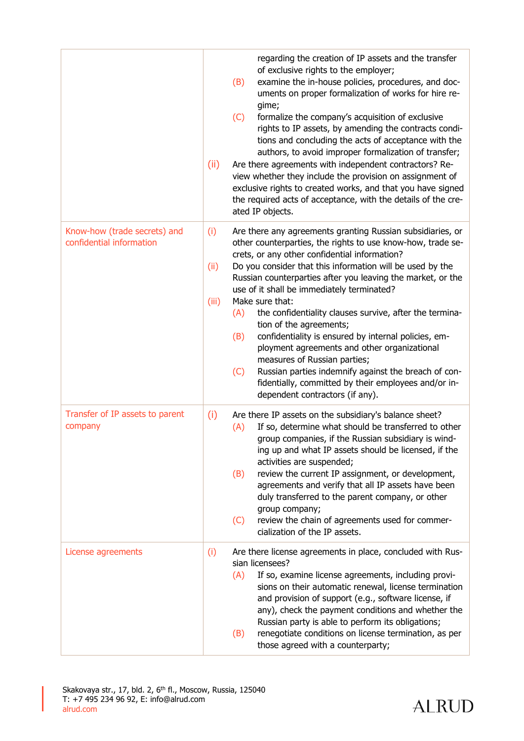|                                                          | (ii)                 | regarding the creation of IP assets and the transfer<br>of exclusive rights to the employer;<br>examine the in-house policies, procedures, and doc-<br>(B)<br>uments on proper formalization of works for hire re-<br>gime;<br>(C)<br>formalize the company's acquisition of exclusive<br>rights to IP assets, by amending the contracts condi-<br>tions and concluding the acts of acceptance with the<br>authors, to avoid improper formalization of transfer;<br>Are there agreements with independent contractors? Re-<br>view whether they include the provision on assignment of<br>exclusive rights to created works, and that you have signed<br>the required acts of acceptance, with the details of the cre-<br>ated IP objects.                                    |
|----------------------------------------------------------|----------------------|-------------------------------------------------------------------------------------------------------------------------------------------------------------------------------------------------------------------------------------------------------------------------------------------------------------------------------------------------------------------------------------------------------------------------------------------------------------------------------------------------------------------------------------------------------------------------------------------------------------------------------------------------------------------------------------------------------------------------------------------------------------------------------|
| Know-how (trade secrets) and<br>confidential information | (i)<br>(ii)<br>(iii) | Are there any agreements granting Russian subsidiaries, or<br>other counterparties, the rights to use know-how, trade se-<br>crets, or any other confidential information?<br>Do you consider that this information will be used by the<br>Russian counterparties after you leaving the market, or the<br>use of it shall be immediately terminated?<br>Make sure that:<br>the confidentiality clauses survive, after the termina-<br>(A)<br>tion of the agreements;<br>confidentiality is ensured by internal policies, em-<br>(B)<br>ployment agreements and other organizational<br>measures of Russian parties;<br>Russian parties indemnify against the breach of con-<br>(C)<br>fidentially, committed by their employees and/or in-<br>dependent contractors (if any). |
| Transfer of IP assets to parent<br>company               | (i)                  | Are there IP assets on the subsidiary's balance sheet?<br>If so, determine what should be transferred to other<br>(A)<br>group companies, if the Russian subsidiary is wind-<br>ing up and what IP assets should be licensed, if the<br>activities are suspended;<br>review the current IP assignment, or development,<br>(B)<br>agreements and verify that all IP assets have been<br>duly transferred to the parent company, or other<br>group company;<br>review the chain of agreements used for commer-<br>(C)<br>cialization of the IP assets.                                                                                                                                                                                                                          |
| License agreements                                       | (i)                  | Are there license agreements in place, concluded with Rus-<br>sian licensees?<br>If so, examine license agreements, including provi-<br>(A)<br>sions on their automatic renewal, license termination<br>and provision of support (e.g., software license, if<br>any), check the payment conditions and whether the<br>Russian party is able to perform its obligations;<br>renegotiate conditions on license termination, as per<br>(B)<br>those agreed with a counterparty;                                                                                                                                                                                                                                                                                                  |